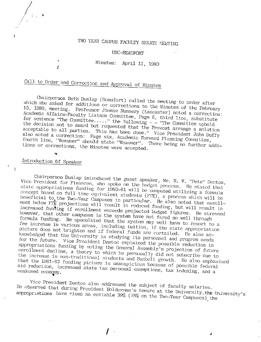# TWO YEAR CAMPUS FACULTY SENATE MEETING

#### USC-BEAUFORT

## Minutes: April 11, 1980

# Call to Order and Correction and Approval of Minutes

Chairperson Beth Dunlap (Beaufort) called the meeting to order after which she asked for additions or corrections to the Minutes of the February 15, 1980, meeting. Professor Jimmie Nunnery (Lancaster) noted a correction: Academic Affairs-Faculty Liaison Committee, Page 6, third line, substitute for sentence "The Committee....." the following  $-$  - 'The Committee upheld the decision not to award but requested that the Provost arrange a solution acceptable to all parties. This has been done." Vice President John Duffy also noted a correction: Page six, Academic Forward Planning Committee, fourth line, "Weasner" should state "Weasner". There being no further additions or corrections, the Minutes were accepted.

ź

## Introduction of Speaker

Chairperson Dunlap introduced the guest speaker, Mr. R. W. 'Pete'' Denton, Vice President for Finances, who spoke on the budget process. He stated that state appropriations funding for 1980-81 will be computed utilizing a formula concept based on full time equivalent students (FTE), a process which will be beneficial to the Two-Year Campuses in particular. He also noted that enrollment below FTE projections will result in reduced funding, but will result in increased funding if enrollment exceeds projected budget figures. He stressed however, that other campuses in the system have not fared so well through formula funding. He speculated that the system may well have to resort to a fee increase in various areas, including tuition, if the state appropriation picture does not brighten and if federal funds are curtailed. He also acknowledged that the University is studying its personnel and program needs for the future. Vice President Denton explained the possible reduction in appropriations funding by noting the General Assembly's projection of future enrollment decline, a theory to which he personally did not subscribe due to the increase in non-traditional students and Sunbelt growth. He also emphasized that the 1981-82 funding picture is unauspicious because of possible federal aid reduction, increased state tax personal exemptions, tax indexing, and a weakened economy.

Vice President Denton also addressed the subject of faculty salaries. He observed that during President Holderman's tenure at the University, the University's appropriations have risen an enviable 39% (78% on the Two-Year Campuses) the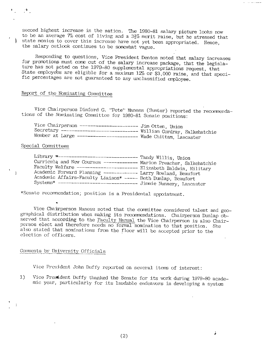second highest increase in the nation. The 1980-81 salary picture looks now to be an average  $7\%$  cost of living and a  $3\frac{1}{2}\%$  merit raise, but he stressed that state monies to cover this increase have not yet been appropriated. Hence, the salary outlook continues to be somewhat vague.

Responding to questions, Vice President Denton noted that salary increases for promotions must come out of the salary increase package, that the legislature has not acted on the 1979-80 supplemental appropriations request, that State employées are eligible for a maximum 12% or \$3,000 raise, and that specific percentages are not guaranteed to any unclassified employee.

## Report of the Nominating Committee

Vice Chairperson Dinford G. "Pete" Maness (Sumter) reported the recommendations of the Nominating Committee for 1980-81 Senate positions:

| Vice Chairperson ---------------------- Jim Otten, Union               |  |
|------------------------------------------------------------------------|--|
| Secretary ------------------------------ William Cordray, Salkehatchie |  |
| Member at Large ---------------------- Wade Chittam, Lancaster         |  |

#### Special Committees

| Library <del>-</del> ------------------------------- Tandy Willis, Union |  |
|--------------------------------------------------------------------------|--|
| Curricula and New Courses ------------ Marion Preacher, Salkehatchie     |  |
| Faculty Welfare ----------------------- Elizabeth Baldwin, Military      |  |
| Academic Forward Planning ------------- Larry Rowland, Beaufort          |  |
| Academic Affairs-Faculty Liaison* ----- Beth Dunlap, Beaufort            |  |
| Systems* ------------------------------- Jimmie Nunnery, Lancaster       |  |

\*Senate recommendation; position is a Presidental appointment.

Vice Chairperson Maness noted that the committee considered talent and geographical distribution when making its recommendations. Chairperson Dunlap observed that according to the Faculty Manual the Vice Chairperson is also Chairperson elect and therefore needs no formal nomination to that position. She also stated that nominations from the floor will be accepted prior to the election of officers.

## Comments by University Officials

Vice President John Duffy reported on several items of interest:

Vice President Duffy thanked the Senate for its work during 1979-80 acade- $1)$ mic year, particularly for its laudable endeavors in developing a system

à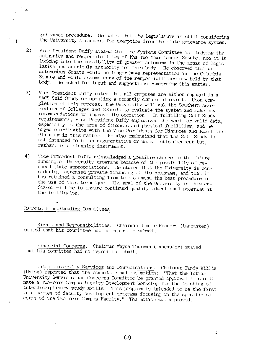grievance procedure. He noted that the Legislature is still considering the University's request for exemption from the state grievance system.

- 2) Vice President Duffy stated that the Systems Committee is studying the authority and responsibilities of the Two-Year Campus Senate, and it is looking into the possibility of greater antonomy in the areas of legislative
- 3) Vice President Duffy noted that all campuses are either engaged in a SACS Self Study or updating a recently completed report. Upon completion of this process, the University will ask the Southern Association of Colleges and Schools to evaluate the system and make any<br>recommendations to improve its operation. In fulfilling Self Study<br>requirements, Vice President Duffy emphasized the need for valid data,<br>especially in th
- 4) Vice President Duffy acknowledged a possible change in the future funding of University programs because of the possibility of reduced state appropriations. He stated that the University is considering increased private

### Reports From:Standing Committees

J Ï

 $\mathbf{r}$ 

Rights and Responsibilities. Chairman Jimmie Nunnery (Lancaster) stated that his committee had no report to submit.

Financial Concerns. Chairman Wayne Thurman (Lancaster) stated that his committee had no report to submit.

Intra-University Services and Communications. Chairman Tandy Willis<br>(Union) reported that the committee had one motion: "That the Intra-University Services and Concerns Committee be granted approval to coordinate a Two-Yea

(3)

;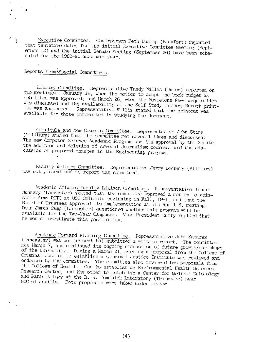Executive Committee. Chairperson Beth Dunlap (Beaufort) reported<br>that tentative dates for the initial Executive Committee Meeting (Sept-<br>ember 12) and the initial Senate Meeting (September 26) have been sche-<br>duled for the

## Reports From<sup>1</sup>Special Committees.

,,

Library Committee. Representative Tandy Willis (Union) reported on<br>two meetings: January 16, when the motion to adopt the book budget as<br>submitted was approved; and March 26, when the Movietone News acquisition<br>was discuss

Curricula and New Courses Committee. Representative John Stine (Military) stated that the committee met several times and discussed:<br>The new Computer Science Academic Program and its approval by the Senate;<br>the addition an

Faculty Welfare Committee. Representative Jerry Dockery (Military) was not present and no report was subnitted.

Academic Affairs-Faculty Liaison Conmittee. Representative Jimmie Nunnery (Lancaster) stated that the committee approved a motion to reinstate Army ROTC at USC Columbia beginning in Fall, 1981, and that the Board of Truste

Academic Forward Planning Committee. Representative John Samaras (Lancaster) was not present but submitted a written report. The committee met March 7, and continued its ongoing discussion of future growth/shrinkage of the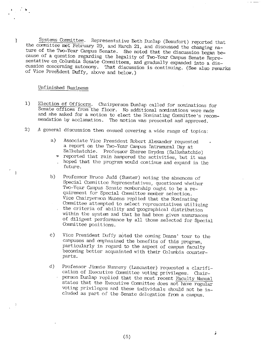Systems Committee. Representative Beth Dunlap (Beaufort) reported that<br>the committee met February 29, and March 21, and discussed the changing na-<br>ture of the Two-Year Campus Senate. She noted that the discussion began be-

#### Unfinished Business

..

- 1) Election of Officers. Chairperson Dunlap called for nominations for<br>Senate offices from the floor. No additional nominations were made<br>and she asked for a motion to elect the Nominating Conmittee's recom-<br>mendation by accl
- 2) <sup>A</sup>general discussion then ensued covering a wide range of topics:
	- a) Associate Vice President Robert Alexander requested Salkehatchie. Professor Sheree Dryden (Salkehatchie)
		- reported that rain hampered the activities, but it was hoped that the program would continue and expand in the future.
	- b) Professor Bruce Judd (Sumter) noting the absences of Special Conmittee Representatives, questioned whether Two-Year Campus Senate monbership ought to be a requirement for Special Committee member selection.<br>Vice Chairperson Maness replied that the Nominating Committee attempted to select representatives utilizing<br>the criteria of ability and geographical distribution<br>within the system and that he had been given assurances<br>of diligent performance by all those selected for Specia
	- c) Vice President Duffy noted the coming Deans' tour to the campuses and emphasized the benefits of this program, particularly in regard to the aspect of campus faculty becoming better acquainted with their Columbia counterparts.
	- d) Professor Jimnie Nunnery (Lancaster) requested a clarification of Executive Committee voting privileges. Chair-<br>
	person Dunlap replied that the most recent Faculty Manual states that the Executive Committee does not have regular voting privileges and these individuals should not be included as part of the Senate delegation from a campus.

(5)

;